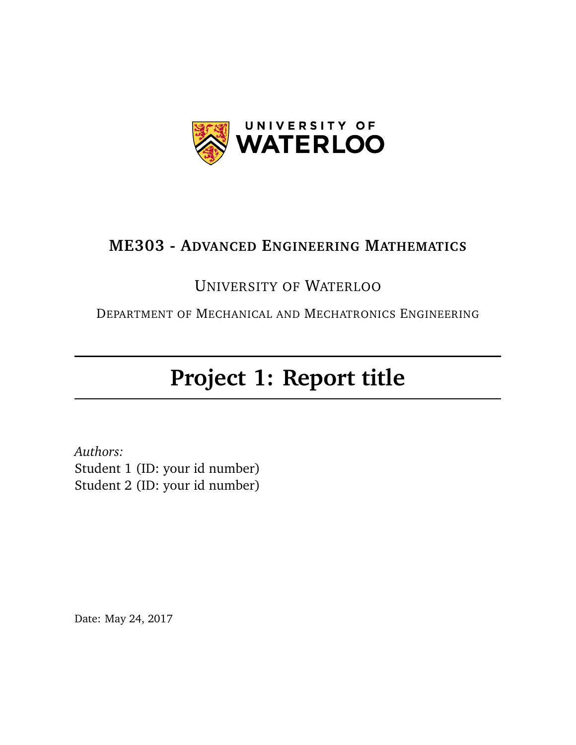

#### **ME303 - ADVANCED ENGINEERING MATHEMATICS**

# UNIVERSITY OF WATERLOO

DEPARTMENT OF MECHANICAL AND MECHATRONICS ENGINEERING

# **Project 1: Report title**

*Authors:* Student 1 (ID: your id number) Student 2 (ID: your id number)

Date: May 24, 2017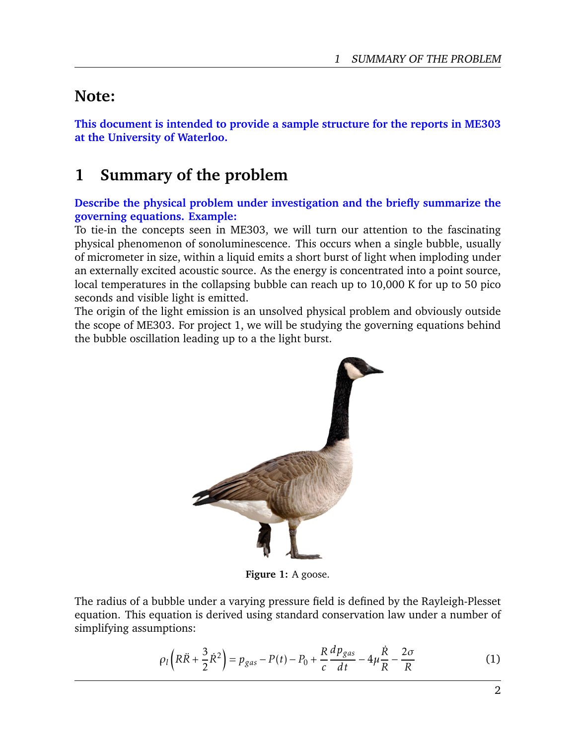## **Note:**

**This document is intended to provide a sample structure for the reports in ME303 at the University of Waterloo.**

# **1 Summary of the problem**

**Describe the physical problem under investigation and the briefly summarize the governing equations. Example:**

To tie-in the concepts seen in ME303, we will turn our attention to the fascinating physical phenomenon of sonoluminescence. This occurs when a single bubble, usually of micrometer in size, within a liquid emits a short burst of light when imploding under an externally excited acoustic source. As the energy is concentrated into a point source, local temperatures in the collapsing bubble can reach up to 10,000 K for up to 50 pico seconds and visible light is emitted.

<span id="page-1-1"></span>The origin of the light emission is an unsolved physical problem and obviously outside the scope of ME303. For project 1, we will be studying the governing equations behind the bubble oscillation leading up to a the light burst.



**Figure 1:** A goose.

The radius of a bubble under a varying pressure field is defined by the Rayleigh-Plesset equation. This equation is derived using standard conservation law under a number of simplifying assumptions:

<span id="page-1-0"></span>
$$
\rho_l\left(R\ddot{R}+\frac{3}{2}\dot{R}^2\right)=p_{gas}-P(t)-P_0+\frac{R}{c}\frac{dp_{gas}}{dt}-4\mu\frac{\dot{R}}{R}-\frac{2\sigma}{R}
$$
(1)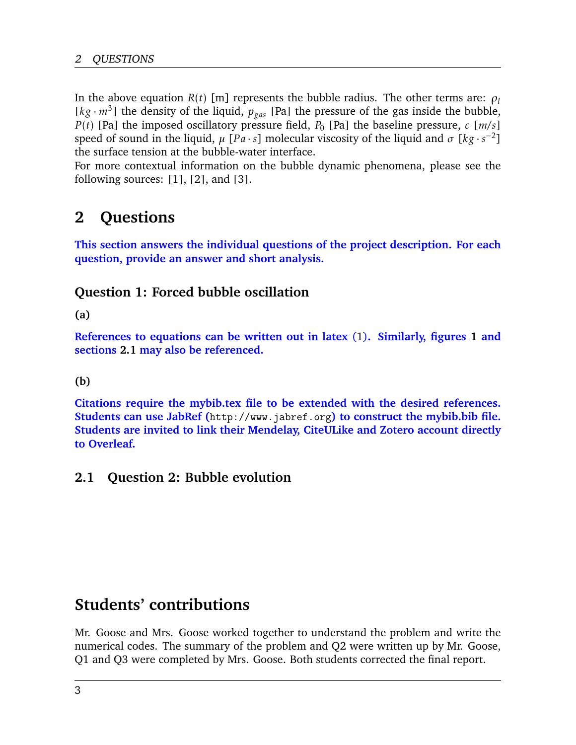In the above equation  $R(t)$  [m] represents the bubble radius. The other terms are:  $\rho_l$  $[kg \cdot m^3]$  the density of the liquid,  $p_{gas}$  [Pa] the pressure of the gas inside the bubble, *P*(*t*) [Pa] the imposed oscillatory pressure field,  $P_0$  [Pa] the baseline pressure, *c* [*m/s*] speed of sound in the liquid,  $\mu$  [*Pa* · *s*] molecular viscosity of the liquid and  $\sigma$  [kg ·  $s^{-2}$ ] the surface tension at the bubble-water interface.

For more contextual information on the bubble dynamic phenomena, please see the following sources:  $[1]$ ,  $[2]$ , and  $[3]$ .

# **2 Questions**

**This section answers the individual questions of the project description. For each question, provide an answer and short analysis.**

#### **Question 1: Forced bubble oscillation**

**(a)**

**References to equations can be written out in latex** [\(1\)](#page-1-0)**. Similarly, figures [1](#page-1-1) and sections [2.1](#page-2-0) may also be referenced.**

**(b)**

**Citations require the mybib.tex file to be extended with the desired references. Students can use JabRef (**<http://www.jabref.org>**) to construct the mybib.bib file. Students are invited to link their Mendelay, CiteULike and Zotero account directly to Overleaf.**

#### <span id="page-2-0"></span>**2.1 Question 2: Bubble evolution**

## **Students' contributions**

Mr. Goose and Mrs. Goose worked together to understand the problem and write the numerical codes. The summary of the problem and Q2 were written up by Mr. Goose, Q1 and Q3 were completed by Mrs. Goose. Both students corrected the final report.